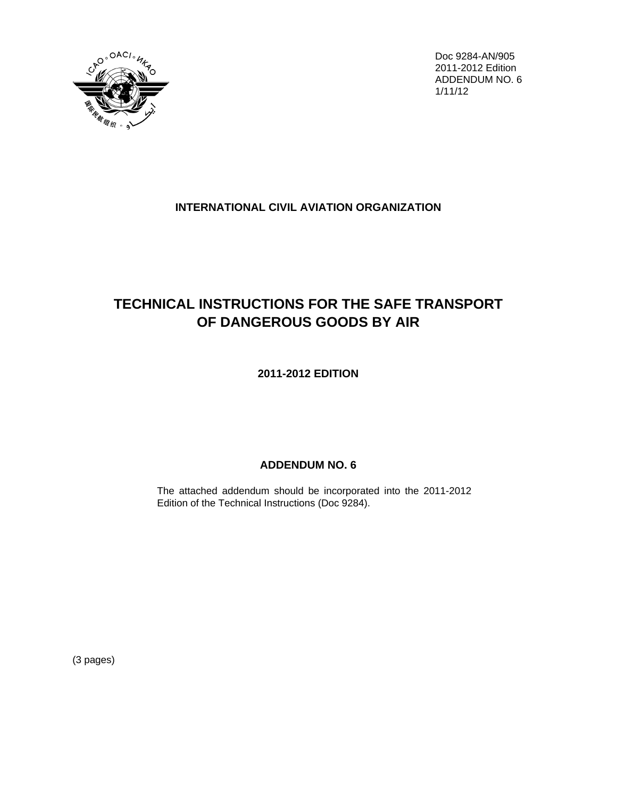

Doc 9284-AN/905 2011-2012 Edition ADDENDUM NO. 6 1/11/12

## **INTERNATIONAL CIVIL AVIATION ORGANIZATION**

# **TECHNICAL INSTRUCTIONS FOR THE SAFE TRANSPORT OF DANGEROUS GOODS BY AIR**

**2011-2012 EDITION**

## **ADDENDUM NO. 6**

The attached addendum should be incorporated into the 2011-2012 Edition of the Technical Instructions (Doc 9284).

(3 pages)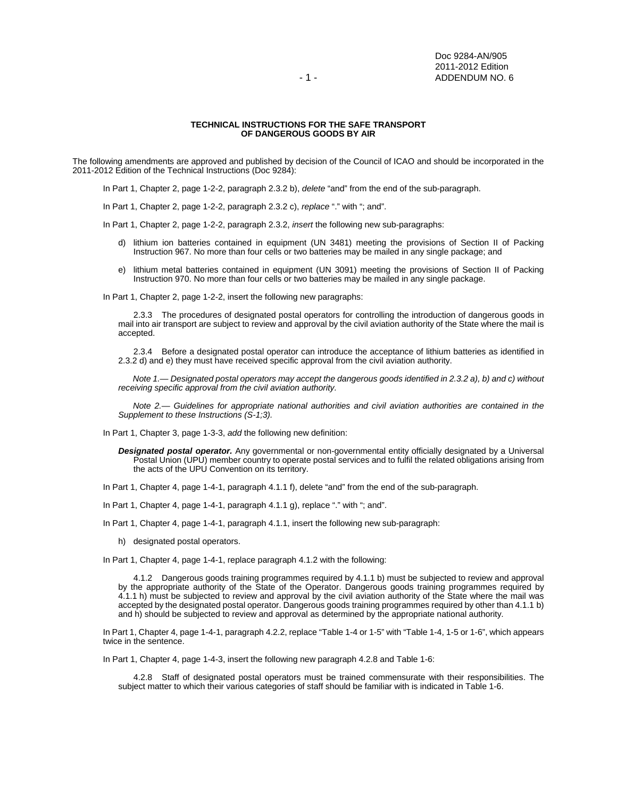#### **TECHNICAL INSTRUCTIONS FOR THE SAFE TRANSPORT OF DANGEROUS GOODS BY AIR**

The following amendments are approved and published by decision of the Council of ICAO and should be incorporated in the 2011-2012 Edition of the Technical Instructions (Doc 9284):

In Part 1, Chapter 2, page 1-2-2, paragraph 2.3.2 b), *delete* "and" from the end of the sub-paragraph.

In Part 1, Chapter 2, page 1-2-2, paragraph 2.3.2 c), *replace* "." with "; and".

In Part 1, Chapter 2, page 1-2-2, paragraph 2.3.2, *insert* the following new sub-paragraphs:

- d) lithium ion batteries contained in equipment (UN 3481) meeting the provisions of Section II of Packing Instruction 967. No more than four cells or two batteries may be mailed in any single package; and
- e) lithium metal batteries contained in equipment (UN 3091) meeting the provisions of Section II of Packing Instruction 970. No more than four cells or two batteries may be mailed in any single package.

In Part 1, Chapter 2, page 1-2-2, insert the following new paragraphs:

 2.3.3 The procedures of designated postal operators for controlling the introduction of dangerous goods in mail into air transport are subject to review and approval by the civil aviation authority of the State where the mail is accepted.

 2.3.4 Before a designated postal operator can introduce the acceptance of lithium batteries as identified in 2.3.2 d) and e) they must have received specific approval from the civil aviation authority.

*Note 1.— Designated postal operators may accept the dangerous goods identified in 2.3.2 a), b) and c) without receiving specific approval from the civil aviation authority.* 

 *Note 2.— Guidelines for appropriate national authorities and civil aviation authorities are contained in the Supplement to these Instructions (S-1;3).*

In Part 1, Chapter 3, page 1-3-3, *add* the following new definition:

- *Designated postal operator.* Any governmental or non-governmental entity officially designated by a Universal Postal Union (UPU) member country to operate postal services and to fulfil the related obligations arising from the acts of the UPU Convention on its territory.
- In Part 1, Chapter 4, page 1-4-1, paragraph 4.1.1 f), delete "and" from the end of the sub-paragraph.
- In Part 1, Chapter 4, page 1-4-1, paragraph 4.1.1 g), replace "." with "; and".
- In Part 1, Chapter 4, page 1-4-1, paragraph 4.1.1, insert the following new sub-paragraph:
	- h) designated postal operators.

In Part 1, Chapter 4, page 1-4-1, replace paragraph 4.1.2 with the following:

 4.1.2 Dangerous goods training programmes required by 4.1.1 b) must be subjected to review and approval by the appropriate authority of the State of the Operator. Dangerous goods training programmes required by 4.1.1 h) must be subjected to review and approval by the civil aviation authority of the State where the mail was accepted by the designated postal operator. Dangerous goods training programmes required by other than 4.1.1 b) and h) should be subjected to review and approval as determined by the appropriate national authority.

In Part 1, Chapter 4, page 1-4-1, paragraph 4.2.2, replace "Table 1-4 or 1-5" with "Table 1-4, 1-5 or 1-6", which appears twice in the sentence.

In Part 1, Chapter 4, page 1-4-3, insert the following new paragraph 4.2.8 and Table 1-6:

4.2.8 Staff of designated postal operators must be trained commensurate with their responsibilities. The subject matter to which their various categories of staff should be familiar with is indicated in Table 1-6.